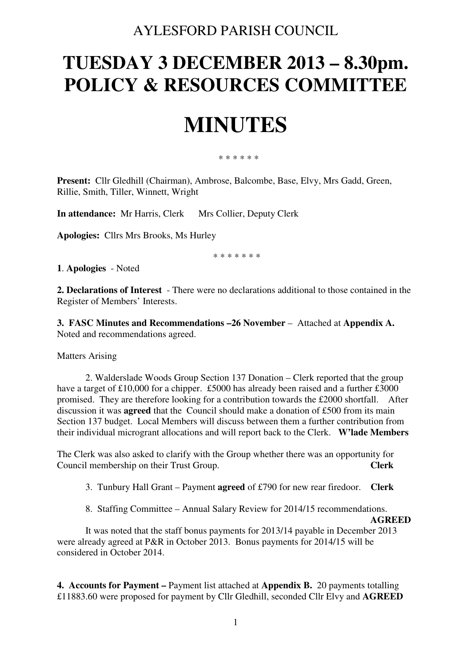## AYLESFORD PARISH COUNCIL

## **TUESDAY 3 DECEMBER 2013 – 8.30pm. POLICY & RESOURCES COMMITTEE**

# **MINUTES**

#### \* \* \* \* \* \*

**Present:** Cllr Gledhill (Chairman), Ambrose, Balcombe, Base, Elvy, Mrs Gadd, Green, Rillie, Smith, Tiller, Winnett, Wright

**In attendance:** Mr Harris, Clerk Mrs Collier, Deputy Clerk

**Apologies:** Cllrs Mrs Brooks, Ms Hurley

\* \* \* \* \* \* \*

**1**. **Apologies** - Noted

**2. Declarations of Interest** - There were no declarations additional to those contained in the Register of Members' Interests.

**3. FASC Minutes and Recommendations –26 November – Attached at Appendix A.** Noted and recommendations agreed.

Matters Arising

2. Walderslade Woods Group Section 137 Donation – Clerk reported that the group have a target of £10,000 for a chipper. £5000 has already been raised and a further £3000 promised. They are therefore looking for a contribution towards the £2000 shortfall. After discussion it was **agreed** that the Council should make a donation of £500 from its main Section 137 budget. Local Members will discuss between them a further contribution from their individual microgrant allocations and will report back to the Clerk. **W'lade Members** 

The Clerk was also asked to clarify with the Group whether there was an opportunity for Council membership on their Trust Group. **Clerk** 

3. Tunbury Hall Grant – Payment **agreed** of £790 for new rear firedoor. **Clerk** 

8. Staffing Committee – Annual Salary Review for 2014/15 recommendations.

#### **AGREED**

It was noted that the staff bonus payments for 2013/14 payable in December 2013 were already agreed at P&R in October 2013. Bonus payments for 2014/15 will be considered in October 2014.

**4. Accounts for Payment –** Payment list attached at **Appendix B.** 20 payments totalling £11883.60 were proposed for payment by Cllr Gledhill, seconded Cllr Elvy and **AGREED**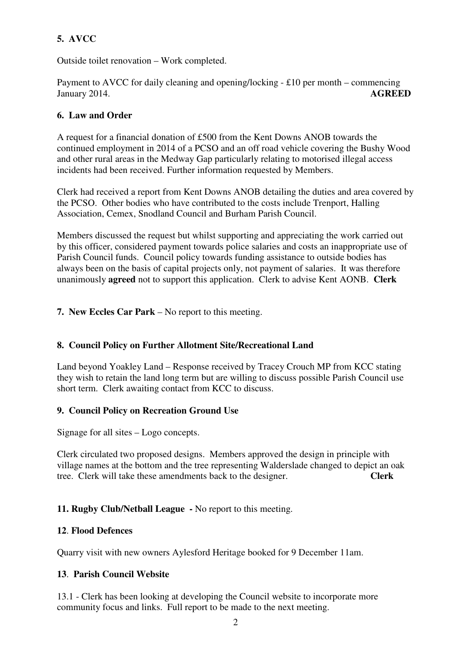### **5. AVCC**

Outside toilet renovation – Work completed.

Payment to AVCC for daily cleaning and opening/locking - £10 per month – commencing January 2014. **AGREED** 

#### **6. Law and Order**

A request for a financial donation of £500 from the Kent Downs ANOB towards the continued employment in 2014 of a PCSO and an off road vehicle covering the Bushy Wood and other rural areas in the Medway Gap particularly relating to motorised illegal access incidents had been received. Further information requested by Members.

Clerk had received a report from Kent Downs ANOB detailing the duties and area covered by the PCSO. Other bodies who have contributed to the costs include Trenport, Halling Association, Cemex, Snodland Council and Burham Parish Council.

Members discussed the request but whilst supporting and appreciating the work carried out by this officer, considered payment towards police salaries and costs an inappropriate use of Parish Council funds. Council policy towards funding assistance to outside bodies has always been on the basis of capital projects only, not payment of salaries. It was therefore unanimously **agreed** not to support this application. Clerk to advise Kent AONB. **Clerk**

**7. New Eccles Car Park** – No report to this meeting.

#### **8. Council Policy on Further Allotment Site/Recreational Land**

Land beyond Yoakley Land – Response received by Tracey Crouch MP from KCC stating they wish to retain the land long term but are willing to discuss possible Parish Council use short term. Clerk awaiting contact from KCC to discuss.

#### **9. Council Policy on Recreation Ground Use**

Signage for all sites – Logo concepts.

Clerk circulated two proposed designs. Members approved the design in principle with village names at the bottom and the tree representing Walderslade changed to depict an oak tree. Clerk will take these amendments back to the designer. **Clerk** 

### **11. Rugby Club/Netball League -** No report to this meeting.

#### **12**. **Flood Defences**

Quarry visit with new owners Aylesford Heritage booked for 9 December 11am.

#### **13**. **Parish Council Website**

13.1 - Clerk has been looking at developing the Council website to incorporate more community focus and links. Full report to be made to the next meeting.